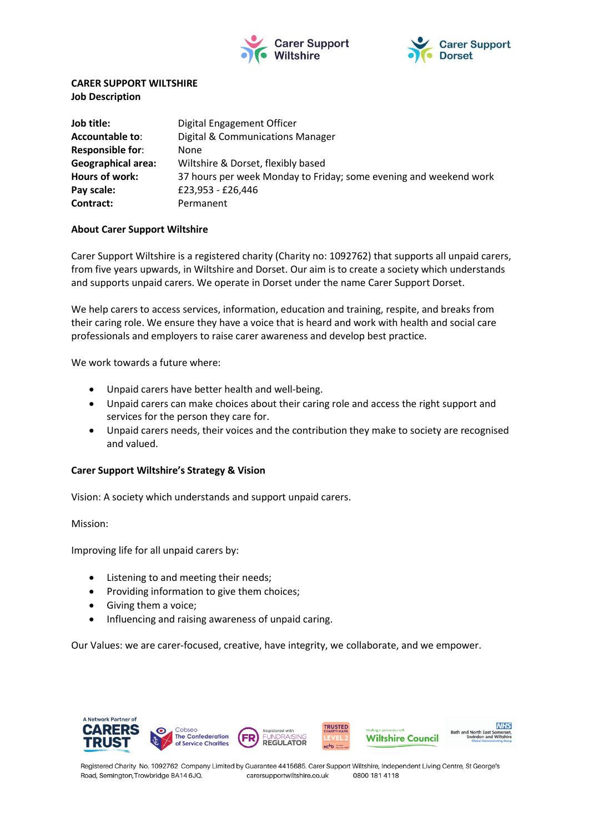



## **CARER SUPPORT WILTSHIRE Job Description**

| Job title:                | Digital Engagement Officer                                        |
|---------------------------|-------------------------------------------------------------------|
| <b>Accountable to:</b>    | Digital & Communications Manager                                  |
| <b>Responsible for:</b>   | None                                                              |
| <b>Geographical area:</b> | Wiltshire & Dorset, flexibly based                                |
| Hours of work:            | 37 hours per week Monday to Friday; some evening and weekend work |
| Pay scale:                | £23,953 - £26,446                                                 |
| Contract:                 | Permanent                                                         |

### **About Carer Support Wiltshire**

Carer Support Wiltshire is a registered charity (Charity no: 1092762) that supports all unpaid carers, from five years upwards, in Wiltshire and Dorset. Our aim is to create a society which understands and supports unpaid carers. We operate in Dorset under the name Carer Support Dorset.

We help carers to access services, information, education and training, respite, and breaks from their caring role. We ensure they have a voice that is heard and work with health and social care professionals and employers to raise carer awareness and develop best practice.

We work towards a future where:

- Unpaid carers have better health and well-being.
- Unpaid carers can make choices about their caring role and access the right support and services for the person they care for.
- Unpaid carers needs, their voices and the contribution they make to society are recognised and valued.

### **Carer Support Wiltshire's Strategy & Vision**

Vision: A society which understands and support unpaid carers.

Mission:

Improving life for all unpaid carers by:

- Listening to and meeting their needs;
- Providing information to give them choices;
- Giving them a voice;
- Influencing and raising awareness of unpaid caring.

Our Values: we are carer-focused, creative, have integrity, we collaborate, and we empower.



Registered Charity No. 1092762 Company Limited by Guarantee 4415685. Carer Support Wiltshire, Independent Living Centre, St George's Road, Semington, Trowbridge BA14 6JQ. 0800 181 4118 carersupportwiltshire.co.uk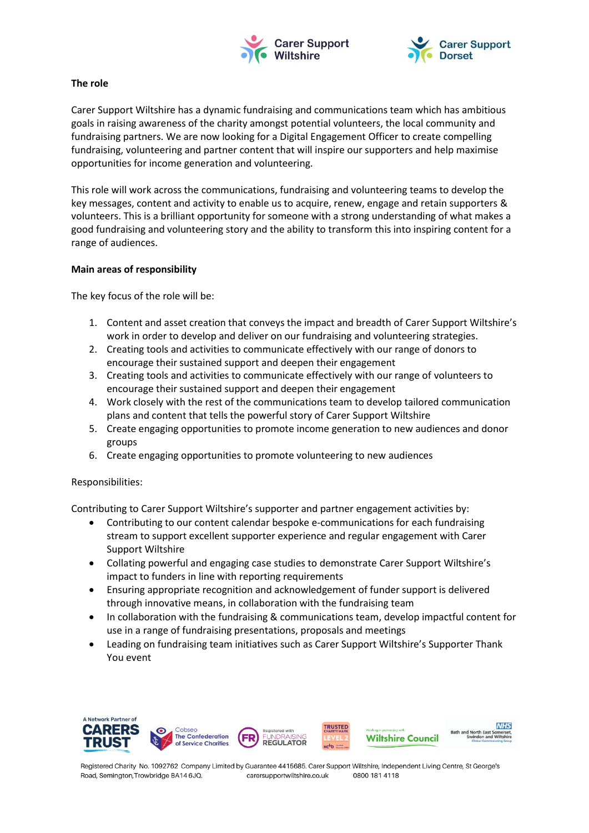



### **The role**

Carer Support Wiltshire has a dynamic fundraising and communications team which has ambitious goals in raising awareness of the charity amongst potential volunteers, the local community and fundraising partners. We are now looking for a Digital Engagement Officer to create compelling fundraising, volunteering and partner content that will inspire our supporters and help maximise opportunities for income generation and volunteering.

This role will work across the communications, fundraising and volunteering teams to develop the key messages, content and activity to enable us to acquire, renew, engage and retain supporters & volunteers. This is a brilliant opportunity for someone with a strong understanding of what makes a good fundraising and volunteering story and the ability to transform this into inspiring content for a range of audiences.

## **Main areas of responsibility**

The key focus of the role will be:

- 1. Content and asset creation that conveys the impact and breadth of Carer Support Wiltshire's work in order to develop and deliver on our fundraising and volunteering strategies.
- 2. Creating tools and activities to communicate effectively with our range of donors to encourage their sustained support and deepen their engagement
- 3. Creating tools and activities to communicate effectively with our range of volunteers to encourage their sustained support and deepen their engagement
- 4. Work closely with the rest of the communications team to develop tailored communication plans and content that tells the powerful story of Carer Support Wiltshire
- 5. Create engaging opportunities to promote income generation to new audiences and donor groups
- 6. Create engaging opportunities to promote volunteering to new audiences

# Responsibilities:

Contributing to Carer Support Wiltshire's supporter and partner engagement activities by:

- Contributing to our content calendar bespoke e-communications for each fundraising stream to support excellent supporter experience and regular engagement with Carer Support Wiltshire
- Collating powerful and engaging case studies to demonstrate Carer Support Wiltshire's impact to funders in line with reporting requirements
- Ensuring appropriate recognition and acknowledgement of funder support is delivered through innovative means, in collaboration with the fundraising team
- In collaboration with the fundraising & communications team, develop impactful content for use in a range of fundraising presentations, proposals and meetings
- Leading on fundraising team initiatives such as Carer Support Wiltshire's Supporter Thank You event



Registered Charity No. 1092762 Company Limited by Guarantee 4415685. Carer Support Wiltshire, Independent Living Centre, St George's Road, Semington, Trowbridge BA14 6JQ. carersupportwiltshire.co.uk 0800 181 4118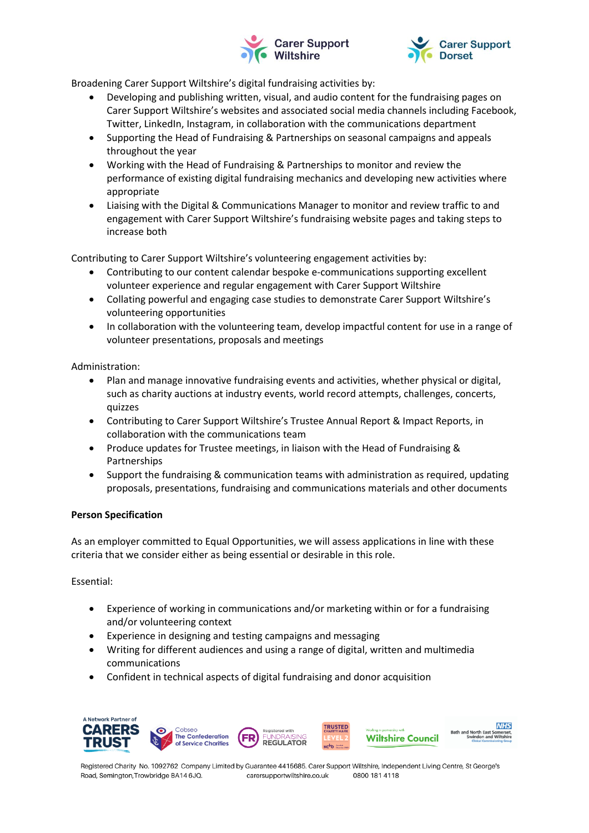



Broadening Carer Support Wiltshire's digital fundraising activities by:

- Developing and publishing written, visual, and audio content for the fundraising pages on Carer Support Wiltshire's websites and associated social media channels including Facebook, Twitter, LinkedIn, Instagram, in collaboration with the communications department
- Supporting the Head of Fundraising & Partnerships on seasonal campaigns and appeals throughout the year
- Working with the Head of Fundraising & Partnerships to monitor and review the performance of existing digital fundraising mechanics and developing new activities where appropriate
- Liaising with the Digital & Communications Manager to monitor and review traffic to and engagement with Carer Support Wiltshire's fundraising website pages and taking steps to increase both

Contributing to Carer Support Wiltshire's volunteering engagement activities by:

- Contributing to our content calendar bespoke e-communications supporting excellent volunteer experience and regular engagement with Carer Support Wiltshire
- Collating powerful and engaging case studies to demonstrate Carer Support Wiltshire's volunteering opportunities
- In collaboration with the volunteering team, develop impactful content for use in a range of volunteer presentations, proposals and meetings

Administration:

- Plan and manage innovative fundraising events and activities, whether physical or digital, such as charity auctions at industry events, world record attempts, challenges, concerts, quizzes
- Contributing to Carer Support Wiltshire's Trustee Annual Report & Impact Reports, in collaboration with the communications team
- Produce updates for Trustee meetings, in liaison with the Head of Fundraising & Partnerships
- Support the fundraising & communication teams with administration as required, updating proposals, presentations, fundraising and communications materials and other documents

# **Person Specification**

As an employer committed to Equal Opportunities, we will assess applications in line with these criteria that we consider either as being essential or desirable in this role.

Essential:

- Experience of working in communications and/or marketing within or for a fundraising and/or volunteering context
- Experience in designing and testing campaigns and messaging
- Writing for different audiences and using a range of digital, written and multimedia communications
- Confident in technical aspects of digital fundraising and donor acquisition



Registered Charity No. 1092762 Company Limited by Guarantee 4415685. Carer Support Wiltshire, Independent Living Centre, St George's Road, Semington, Trowbridge BA14 6JQ. carersupportwiltshire.co.uk 0800 181 4118